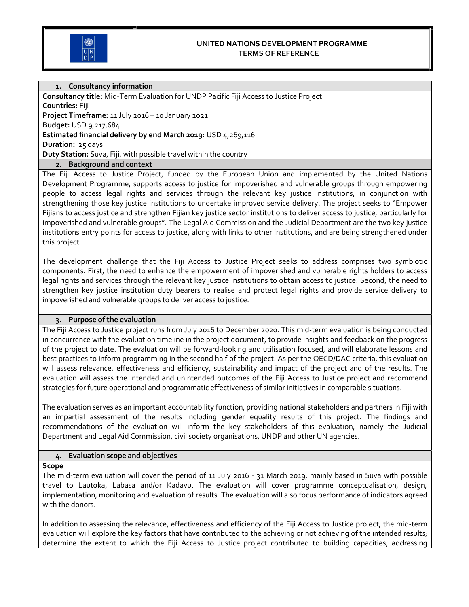

#### UNITED NATIONS DEVELOPMENT PROGRAMME TERMS OF REFERENCE

## 1. Consultancy information

Consultancy title: Mid-Term Evaluation for UNDP Pacific Fiji Access to Justice Project Countries: Fiji Project Timeframe: 11 July 2016 – 10 January 2021 Budget: USD 9,217,684 Estimated financial delivery by end March 2019: USD 4,269,116 Duration: 25 days Duty Station: Suva, Fiji, with possible travel within the country

## 2. Background and context

The Fiji Access to Justice Project, funded by the European Union and implemented by the United Nations Development Programme, supports access to justice for impoverished and vulnerable groups through empowering people to access legal rights and services through the relevant key justice institutions, in conjunction with strengthening those key justice institutions to undertake improved service delivery. The project seeks to "Empower Fijians to access justice and strengthen Fijian key justice sector institutions to deliver access to justice, particularly for impoverished and vulnerable groups". The Legal Aid Commission and the Judicial Department are the two key justice institutions entry points for access to justice, along with links to other institutions, and are being strengthened under this project.

The development challenge that the Fiji Access to Justice Project seeks to address comprises two symbiotic components. First, the need to enhance the empowerment of impoverished and vulnerable rights holders to access legal rights and services through the relevant key justice institutions to obtain access to justice. Second, the need to strengthen key justice institution duty bearers to realise and protect legal rights and provide service delivery to impoverished and vulnerable groups to deliver access to justice.

#### 3. Purpose of the evaluation

The Fiji Access to Justice project runs from July 2016 to December 2020. This mid-term evaluation is being conducted in concurrence with the evaluation timeline in the project document, to provide insights and feedback on the progress of the project to date. The evaluation will be forward-looking and utilisation focused, and will elaborate lessons and best practices to inform programming in the second half of the project. As per the OECD/DAC criteria, this evaluation will assess relevance, effectiveness and efficiency, sustainability and impact of the project and of the results. The evaluation will assess the intended and unintended outcomes of the Fiji Access to Justice project and recommend strategies for future operational and programmatic effectiveness of similar initiatives in comparable situations.

The evaluation serves as an important accountability function, providing national stakeholders and partners in Fiji with an impartial assessment of the results including gender equality results of this project. The findings and recommendations of the evaluation will inform the key stakeholders of this evaluation, namely the Judicial Department and Legal Aid Commission, civil society organisations, UNDP and other UN agencies.

#### 4. Evaluation scope and objectives

Scope

The mid-term evaluation will cover the period of 11 July 2016 - 31 March 2019, mainly based in Suva with possible travel to Lautoka, Labasa and/or Kadavu. The evaluation will cover programme conceptualisation, design, implementation, monitoring and evaluation of results. The evaluation will also focus performance of indicators agreed with the donors.

In addition to assessing the relevance, effectiveness and efficiency of the Fiji Access to Justice project, the mid-term evaluation will explore the key factors that have contributed to the achieving or not achieving of the intended results; determine the extent to which the Fiji Access to Justice project contributed to building capacities; addressing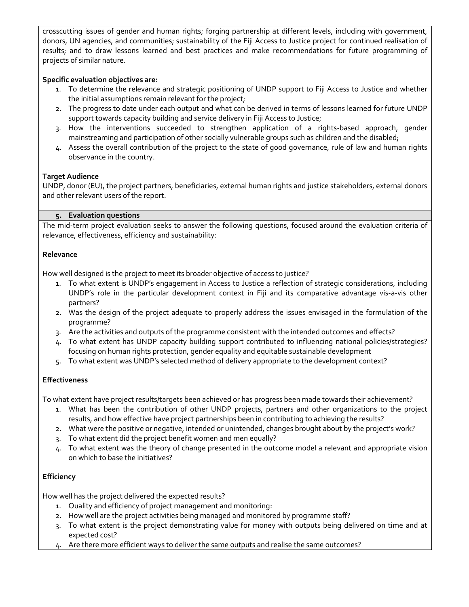crosscutting issues of gender and human rights; forging partnership at different levels, including with government, donors, UN agencies, and communities; sustainability of the Fiji Access to Justice project for continued realisation of results; and to draw lessons learned and best practices and make recommendations for future programming of projects of similar nature.

## Specific evaluation objectives are:

- 1. To determine the relevance and strategic positioning of UNDP support to Fiji Access to Justice and whether the initial assumptions remain relevant for the project;
- 2. The progress to date under each output and what can be derived in terms of lessons learned for future UNDP support towards capacity building and service delivery in Fiji Access to Justice;
- 3. How the interventions succeeded to strengthen application of a rights-based approach, gender mainstreaming and participation of other socially vulnerable groups such as children and the disabled;
- 4. Assess the overall contribution of the project to the state of good governance, rule of law and human rights observance in the country.

## Target Audience

UNDP, donor (EU), the project partners, beneficiaries, external human rights and justice stakeholders, external donors and other relevant users of the report.

## 5. Evaluation questions

The mid-term project evaluation seeks to answer the following questions, focused around the evaluation criteria of relevance, effectiveness, efficiency and sustainability:

## Relevance

How well designed is the project to meet its broader objective of access to justice?

- 1. To what extent is UNDP's engagement in Access to Justice a reflection of strategic considerations, including UNDP's role in the particular development context in Fiji and its comparative advantage vis-a-vis other partners?
- 2. Was the design of the project adequate to properly address the issues envisaged in the formulation of the programme?
- 3. Are the activities and outputs of the programme consistent with the intended outcomes and effects?
- 4. To what extent has UNDP capacity building support contributed to influencing national policies/strategies? focusing on human rights protection, gender equality and equitable sustainable development
- 5. To what extent was UNDP's selected method of delivery appropriate to the development context?

# **Effectiveness**

To what extent have project results/targets been achieved or has progress been made towards their achievement?

- 1. What has been the contribution of other UNDP projects, partners and other organizations to the project results, and how effective have project partnerships been in contributing to achieving the results?
- 2. What were the positive or negative, intended or unintended, changes brought about by the project's work?
- 3. To what extent did the project benefit women and men equally?
- 4. To what extent was the theory of change presented in the outcome model a relevant and appropriate vision on which to base the initiatives?

# **Efficiency**

How well has the project delivered the expected results?

- 1. Quality and efficiency of project management and monitoring:
- 2. How well are the project activities being managed and monitored by programme staff?
- 3. To what extent is the project demonstrating value for money with outputs being delivered on time and at expected cost?
- 4. Are there more efficient ways to deliver the same outputs and realise the same outcomes?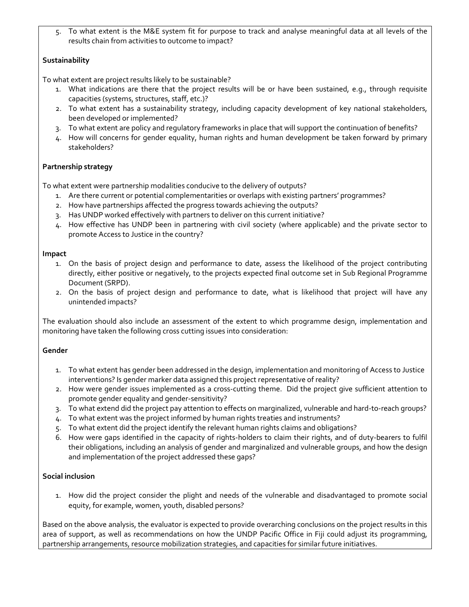5. To what extent is the M&E system fit for purpose to track and analyse meaningful data at all levels of the results chain from activities to outcome to impact?

# **Sustainability**

To what extent are project results likely to be sustainable?

- 1. What indications are there that the project results will be or have been sustained, e.g., through requisite capacities (systems, structures, staff, etc.)?
- 2. To what extent has a sustainability strategy, including capacity development of key national stakeholders, been developed or implemented?
- 3. To what extent are policy and regulatory frameworks in place that will support the continuation of benefits?
- 4. How will concerns for gender equality, human rights and human development be taken forward by primary stakeholders?

## Partnership strategy

To what extent were partnership modalities conducive to the delivery of outputs?

- 1. Are there current or potential complementarities or overlaps with existing partners' programmes?
- 2. How have partnerships affected the progress towards achieving the outputs?
- 3. Has UNDP worked effectively with partners to deliver on this current initiative?
- 4. How effective has UNDP been in partnering with civil society (where applicable) and the private sector to promote Access to Justice in the country?

#### Impact

- 1. On the basis of project design and performance to date, assess the likelihood of the project contributing directly, either positive or negatively, to the projects expected final outcome set in Sub Regional Programme Document (SRPD).
- 2. On the basis of project design and performance to date, what is likelihood that project will have any unintended impacts?

The evaluation should also include an assessment of the extent to which programme design, implementation and monitoring have taken the following cross cutting issues into consideration:

## Gender

- 1. To what extent has gender been addressed in the design, implementation and monitoring of Access to Justice interventions? Is gender marker data assigned this project representative of reality?
- 2. How were gender issues implemented as a cross-cutting theme. Did the project give sufficient attention to promote gender equality and gender-sensitivity?
- 3. To what extend did the project pay attention to effects on marginalized, vulnerable and hard-to-reach groups?
- 4. To what extent was the project informed by human rights treaties and instruments?
- 5. To what extent did the project identify the relevant human rights claims and obligations?
- 6. How were gaps identified in the capacity of rights-holders to claim their rights, and of duty-bearers to fulfil their obligations, including an analysis of gender and marginalized and vulnerable groups, and how the design and implementation of the project addressed these gaps?

## Social inclusion

1. How did the project consider the plight and needs of the vulnerable and disadvantaged to promote social equity, for example, women, youth, disabled persons?

Based on the above analysis, the evaluator is expected to provide overarching conclusions on the project results in this area of support, as well as recommendations on how the UNDP Pacific Office in Fiji could adjust its programming, partnership arrangements, resource mobilization strategies, and capacities for similar future initiatives.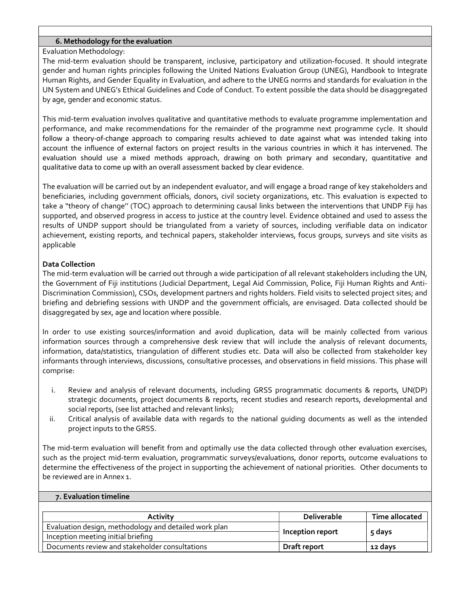### 6. Methodology for the evaluation

### Evaluation Methodology:

The mid-term evaluation should be transparent, inclusive, participatory and utilization-focused. It should integrate gender and human rights principles following the United Nations Evaluation Group (UNEG), Handbook to Integrate Human Rights, and Gender Equality in Evaluation, and adhere to the UNEG norms and standards for evaluation in the UN System and UNEG's Ethical Guidelines and Code of Conduct. To extent possible the data should be disaggregated by age, gender and economic status.

This mid-term evaluation involves qualitative and quantitative methods to evaluate programme implementation and performance, and make recommendations for the remainder of the programme next programme cycle. It should follow a theory-of-change approach to comparing results achieved to date against what was intended taking into account the influence of external factors on project results in the various countries in which it has intervened. The evaluation should use a mixed methods approach, drawing on both primary and secondary, quantitative and qualitative data to come up with an overall assessment backed by clear evidence.

The evaluation will be carried out by an independent evaluator, and will engage a broad range of key stakeholders and beneficiaries, including government officials, donors, civil society organizations, etc. This evaluation is expected to take a "theory of change'' (TOC) approach to determining causal links between the interventions that UNDP Fiji has supported, and observed progress in access to justice at the country level. Evidence obtained and used to assess the results of UNDP support should be triangulated from a variety of sources, including verifiable data on indicator achievement, existing reports, and technical papers, stakeholder interviews, focus groups, surveys and site visits as applicable

## Data Collection

The mid-term evaluation will be carried out through a wide participation of all relevant stakeholders including the UN, the Government of Fiji institutions (Judicial Department, Legal Aid Commission, Police, Fiji Human Rights and Anti-Discrimination Commission), CSOs, development partners and rights holders. Field visits to selected project sites; and briefing and debriefing sessions with UNDP and the government officials, are envisaged. Data collected should be disaggregated by sex, age and location where possible.

In order to use existing sources/information and avoid duplication, data will be mainly collected from various information sources through a comprehensive desk review that will include the analysis of relevant documents, information, data/statistics, triangulation of different studies etc. Data will also be collected from stakeholder key informants through interviews, discussions, consultative processes, and observations in field missions. This phase will comprise:

- i. Review and analysis of relevant documents, including GRSS programmatic documents & reports, UN(DP) strategic documents, project documents & reports, recent studies and research reports, developmental and social reports, (see list attached and relevant links);
- ii. Critical analysis of available data with regards to the national guiding documents as well as the intended project inputs to the GRSS.

The mid-term evaluation will benefit from and optimally use the data collected through other evaluation exercises, such as the project mid-term evaluation, programmatic surveys/evaluations, donor reports, outcome evaluations to determine the effectiveness of the project in supporting the achievement of national priorities. Other documents to be reviewed are in Annex 1.

#### 7. Evaluation timeline

| <b>Activity</b>                                       | Deliverable                | Time allocated |
|-------------------------------------------------------|----------------------------|----------------|
| Evaluation design, methodology and detailed work plan |                            |                |
| Inception meeting initial briefing                    | Inception report<br>5 days |                |
| Documents review and stakeholder consultations        | Draft report               | 12 days        |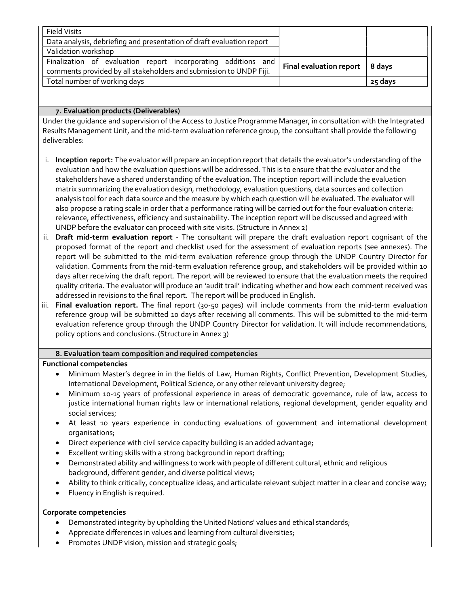| <b>Field Visits</b>                                                   |                                      |           |
|-----------------------------------------------------------------------|--------------------------------------|-----------|
| Data analysis, debriefing and presentation of draft evaluation report |                                      |           |
| Validation workshop                                                   |                                      |           |
| Finalization of evaluation report incorporating additions and         | Final evaluation report <sup>1</sup> | $ 8$ davs |
| comments provided by all stakeholders and submission to UNDP Fiji.    |                                      |           |
| Total number of working days                                          |                                      | 25 days   |

## 7. Evaluation products (Deliverables)

Under the guidance and supervision of the Access to Justice Programme Manager, in consultation with the Integrated Results Management Unit, and the mid-term evaluation reference group, the consultant shall provide the following deliverables:

- i. Inception report: The evaluator will prepare an inception report that details the evaluator's understanding of the evaluation and how the evaluation questions will be addressed. This is to ensure that the evaluator and the stakeholders have a shared understanding of the evaluation. The inception report will include the evaluation matrix summarizing the evaluation design, methodology, evaluation questions, data sources and collection analysis tool for each data source and the measure by which each question will be evaluated. The evaluator will also propose a rating scale in order that a performance rating will be carried out for the four evaluation criteria: relevance, effectiveness, efficiency and sustainability. The inception report will be discussed and agreed with UNDP before the evaluator can proceed with site visits. (Structure in Annex 2)
- ii. Draft mid-term evaluation report The consultant will prepare the draft evaluation report cognisant of the proposed format of the report and checklist used for the assessment of evaluation reports (see annexes). The report will be submitted to the mid-term evaluation reference group through the UNDP Country Director for validation. Comments from the mid-term evaluation reference group, and stakeholders will be provided within 10 days after receiving the draft report. The report will be reviewed to ensure that the evaluation meets the required quality criteria. The evaluator will produce an 'audit trail' indicating whether and how each comment received was addressed in revisions to the final report. The report will be produced in English.
- iii. Final evaluation report. The final report (30-50 pages) will include comments from the mid-term evaluation reference group will be submitted 10 days after receiving all comments. This will be submitted to the mid-term evaluation reference group through the UNDP Country Director for validation. It will include recommendations, policy options and conclusions. (Structure in Annex 3)

## 8. Evaluation team composition and required competencies

## Functional competencies

- Minimum Master's degree in in the fields of Law, Human Rights, Conflict Prevention, Development Studies, International Development, Political Science, or any other relevant university degree;
- Minimum 10-15 years of professional experience in areas of democratic governance, rule of law, access to justice international human rights law or international relations, regional development, gender equality and social services;
- At least 10 years experience in conducting evaluations of government and international development organisations;
- Direct experience with civil service capacity building is an added advantage;
- Excellent writing skills with a strong background in report drafting;
- Demonstrated ability and willingness to work with people of different cultural, ethnic and religious background, different gender, and diverse political views;
- Ability to think critically, conceptualize ideas, and articulate relevant subject matter in a clear and concise way;
- Fluency in English is required.

## Corporate competencies

- Demonstrated integrity by upholding the United Nations' values and ethical standards;
- Appreciate differences in values and learning from cultural diversities;
- Promotes UNDP vision, mission and strategic goals;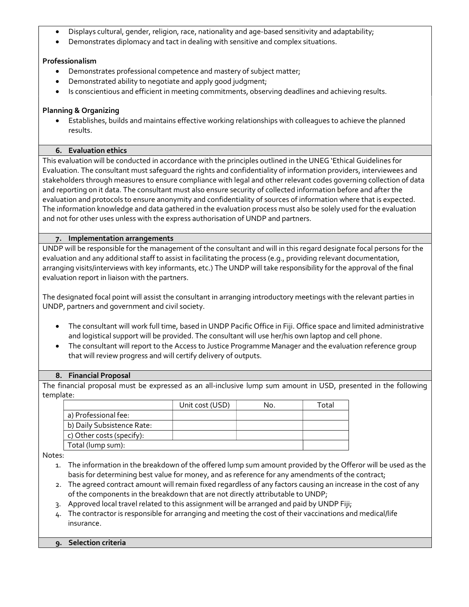- Displays cultural, gender, religion, race, nationality and age-based sensitivity and adaptability;
- Demonstrates diplomacy and tact in dealing with sensitive and complex situations.

# Professionalism

- Demonstrates professional competence and mastery of subject matter;
- Demonstrated ability to negotiate and apply good judgment;
- Is conscientious and efficient in meeting commitments, observing deadlines and achieving results.

## Planning & Organizing

 Establishes, builds and maintains effective working relationships with colleagues to achieve the planned results.

## 6. Evaluation ethics

This evaluation will be conducted in accordance with the principles outlined in the UNEG 'Ethical Guidelines for Evaluation. The consultant must safeguard the rights and confidentiality of information providers, interviewees and stakeholders through measures to ensure compliance with legal and other relevant codes governing collection of data and reporting on it data. The consultant must also ensure security of collected information before and after the evaluation and protocols to ensure anonymity and confidentiality of sources of information where that is expected. The information knowledge and data gathered in the evaluation process must also be solely used for the evaluation and not for other uses unless with the express authorisation of UNDP and partners.

## 7. Implementation arrangements

UNDP will be responsible for the management of the consultant and will in this regard designate focal persons for the evaluation and any additional staff to assist in facilitating the process (e.g., providing relevant documentation, arranging visits/interviews with key informants, etc.) The UNDP will take responsibility for the approval of the final evaluation report in liaison with the partners.

The designated focal point will assist the consultant in arranging introductory meetings with the relevant parties in UNDP, partners and government and civil society.

- The consultant will work full time, based in UNDP Pacific Office in Fiji. Office space and limited administrative and logistical support will be provided. The consultant will use her/his own laptop and cell phone.
- The consultant will report to the Access to Justice Programme Manager and the evaluation reference group that will review progress and will certify delivery of outputs.

## 8. Financial Proposal

The financial proposal must be expressed as an all-inclusive lump sum amount in USD, presented in the following template:

|                            | Unit cost (USD) | No. | Total |
|----------------------------|-----------------|-----|-------|
| a) Professional fee:       |                 |     |       |
| b) Daily Subsistence Rate: |                 |     |       |
| c) Other costs (specify):  |                 |     |       |
| Total (lump sum):          |                 |     |       |

Notes:

- 1. The information in the breakdown of the offered lump sum amount provided by the Offeror will be used as the basis for determining best value for money, and as reference for any amendments of the contract;
- 2. The agreed contract amount will remain fixed regardless of any factors causing an increase in the cost of any of the components in the breakdown that are not directly attributable to UNDP;
- 3. Approved local travel related to this assignment will be arranged and paid by UNDP Fiji;
- 4. The contractor is responsible for arranging and meeting the cost of their vaccinations and medical/life insurance.

## 9. Selection criteria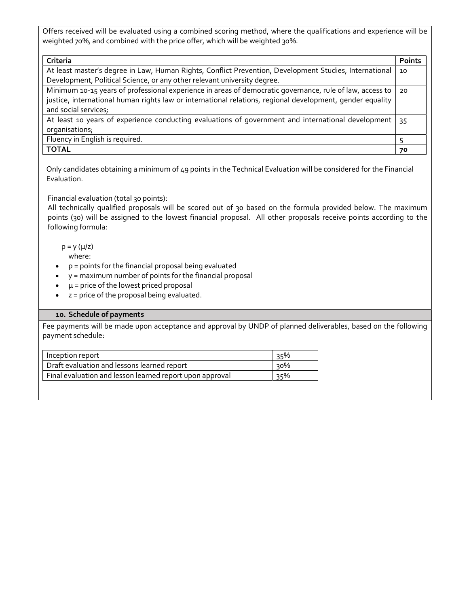Offers received will be evaluated using a combined scoring method, where the qualifications and experience will be weighted 70%, and combined with the price offer, which will be weighted 30%.

| Criteria                                                                                                  | <b>Points</b> |  |  |
|-----------------------------------------------------------------------------------------------------------|---------------|--|--|
| At least master's degree in Law, Human Rights, Conflict Prevention, Development Studies, International    |               |  |  |
| Development, Political Science, or any other relevant university degree.                                  |               |  |  |
| Minimum 10-15 years of professional experience in areas of democratic governance, rule of law, access to  | 20            |  |  |
| justice, international human rights law or international relations, regional development, gender equality |               |  |  |
| and social services;                                                                                      |               |  |  |
| At least 10 years of experience conducting evaluations of government and international development        | 35            |  |  |
| organisations;                                                                                            |               |  |  |
| Fluency in English is required.                                                                           |               |  |  |
| <b>TOTAL</b>                                                                                              | 70            |  |  |

Only candidates obtaining a minimum of 49 points in the Technical Evaluation will be considered for the Financial Evaluation.

Financial evaluation (total 30 points):

All technically qualified proposals will be scored out of 30 based on the formula provided below. The maximum points (30) will be assigned to the lowest financial proposal. All other proposals receive points according to the following formula:

 $p = y (\mu/z)$ where:

- p = points for the financial proposal being evaluated
- $\bullet$   $y =$  maximum number of points for the financial proposal
- $\mu$  = price of the lowest priced proposal
- $\bullet$   $z = price$  of the proposal being evaluated.

## 10. Schedule of payments

Fee payments will be made upon acceptance and approval by UNDP of planned deliverables, based on the following payment schedule:

| Inception report                                         | 35% |
|----------------------------------------------------------|-----|
| Draft evaluation and lessons learned report              | 90% |
| Final evaluation and lesson learned report upon approval | २५% |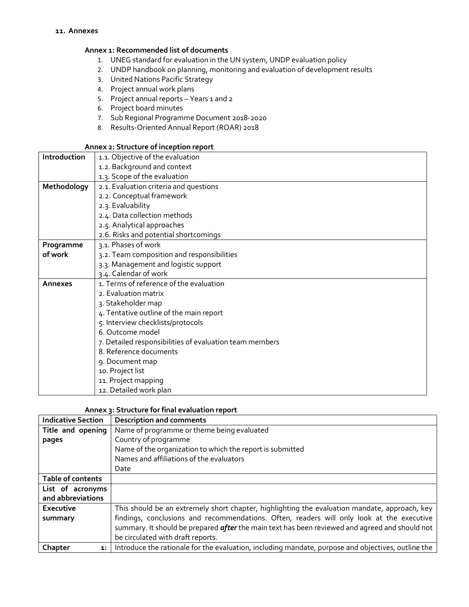### Annex 1: Recommended list of documents

- 1. UNEG standard for evaluation in the UN system, UNDP evaluation policy
- 2. UNDP handbook on planning, monitoring and evaluation of development results
- 3. United Nations Pacific Strategy
- 4. Project annual work plans
- 5. Project annual reports Years 1 and 2
- 6. Project board minutes
- 7. Sub Regional Programme Document 2018-2020
- 8. Results-Oriented Annual Report (ROAR) 2018

### Annex 2: Structure of inception report

| Introduction | 1.1. Objective of the evaluation                        |  |  |  |  |  |
|--------------|---------------------------------------------------------|--|--|--|--|--|
|              | 1.2. Background and context                             |  |  |  |  |  |
|              | 1.3. Scope of the evaluation                            |  |  |  |  |  |
| Methodology  | 2.1. Evaluation criteria and questions                  |  |  |  |  |  |
|              | 2.2. Conceptual framework                               |  |  |  |  |  |
|              | 2.3. Evaluability                                       |  |  |  |  |  |
|              | 2.4. Data collection methods                            |  |  |  |  |  |
|              | 2.5. Analytical approaches                              |  |  |  |  |  |
|              | 2.6. Risks and potential shortcomings                   |  |  |  |  |  |
| Programme    | 3.1. Phases of work                                     |  |  |  |  |  |
| of work      | 3.2. Team composition and responsibilities              |  |  |  |  |  |
|              | 3.3. Management and logistic support                    |  |  |  |  |  |
|              | 3.4. Calendar of work                                   |  |  |  |  |  |
| Annexes      | 1. Terms of reference of the evaluation                 |  |  |  |  |  |
|              | 2. Evaluation matrix                                    |  |  |  |  |  |
|              | 3. Stakeholder map                                      |  |  |  |  |  |
|              | 4. Tentative outline of the main report                 |  |  |  |  |  |
|              | 5. Interview checklists/protocols                       |  |  |  |  |  |
|              | 6. Outcome model                                        |  |  |  |  |  |
|              | 7. Detailed responsibilities of evaluation team members |  |  |  |  |  |
|              | 8. Reference documents                                  |  |  |  |  |  |
|              | 9. Document map                                         |  |  |  |  |  |
|              | 10. Project list                                        |  |  |  |  |  |
|              | 11. Project mapping                                     |  |  |  |  |  |
|              | 12. Detailed work plan                                  |  |  |  |  |  |

### Annex 3: Structure for final evaluation report

| <b>Indicative Section</b> | <b>Description and comments</b>                                                                       |
|---------------------------|-------------------------------------------------------------------------------------------------------|
| Title and opening         | Name of programme or theme being evaluated                                                            |
| pages                     | Country of programme                                                                                  |
|                           | Name of the organization to which the report is submitted                                             |
|                           | Names and affiliations of the evaluators                                                              |
|                           | Date                                                                                                  |
| Table of contents         |                                                                                                       |
| List of acronyms          |                                                                                                       |
| and abbreviations         |                                                                                                       |
| Executive                 | This should be an extremely short chapter, highlighting the evaluation mandate, approach, key         |
| summary                   | findings, conclusions and recommendations. Often, readers will only look at the executive             |
|                           | summary. It should be prepared <i>after</i> the main text has been reviewed and agreed and should not |
|                           | be circulated with draft reports.                                                                     |
| Chapter<br>1:             | Introduce the rationale for the evaluation, including mandate, purpose and objectives, outline the    |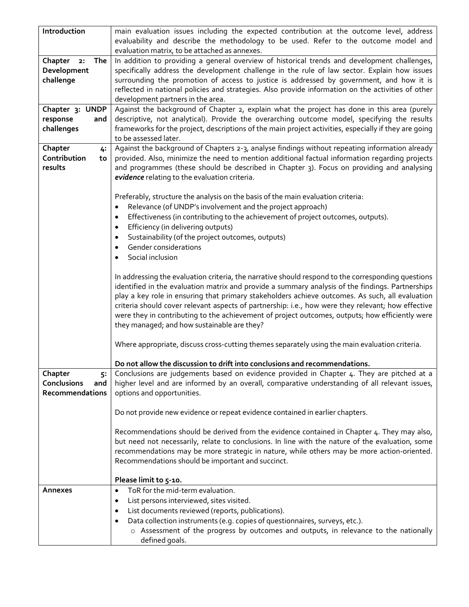| Introduction                        | main evaluation issues including the expected contribution at the outcome level, address<br>evaluability and describe the methodology to be used. Refer to the outcome model and                      |  |  |  |  |
|-------------------------------------|-------------------------------------------------------------------------------------------------------------------------------------------------------------------------------------------------------|--|--|--|--|
|                                     | evaluation matrix, to be attached as annexes.                                                                                                                                                         |  |  |  |  |
| Chapter<br>The<br>2:<br>Development | In addition to providing a general overview of historical trends and development challenges,<br>specifically address the development challenge in the rule of law sector. Explain how issues          |  |  |  |  |
| challenge                           | surrounding the promotion of access to justice is addressed by government, and how it is                                                                                                              |  |  |  |  |
|                                     | reflected in national policies and strategies. Also provide information on the activities of other                                                                                                    |  |  |  |  |
|                                     | development partners in the area.                                                                                                                                                                     |  |  |  |  |
| Chapter 3: UNDP                     | Against the background of Chapter 2, explain what the project has done in this area (purely                                                                                                           |  |  |  |  |
| response<br>and                     | descriptive, not analytical). Provide the overarching outcome model, specifying the results                                                                                                           |  |  |  |  |
| challenges                          | frameworks for the project, descriptions of the main project activities, especially if they are going                                                                                                 |  |  |  |  |
| Chapter                             | to be assessed later.<br>Against the background of Chapters 2-3, analyse findings without repeating information already                                                                               |  |  |  |  |
| 4:<br>Contribution<br>to            | provided. Also, minimize the need to mention additional factual information regarding projects                                                                                                        |  |  |  |  |
| results                             | and programmes (these should be described in Chapter 3). Focus on providing and analysing                                                                                                             |  |  |  |  |
|                                     | evidence relating to the evaluation criteria.                                                                                                                                                         |  |  |  |  |
|                                     |                                                                                                                                                                                                       |  |  |  |  |
|                                     | Preferably, structure the analysis on the basis of the main evaluation criteria:                                                                                                                      |  |  |  |  |
|                                     | Relevance (of UNDP's involvement and the project approach)                                                                                                                                            |  |  |  |  |
|                                     | Effectiveness (in contributing to the achievement of project outcomes, outputs).                                                                                                                      |  |  |  |  |
|                                     | Efficiency (in delivering outputs)<br>Sustainability (of the project outcomes, outputs)                                                                                                               |  |  |  |  |
|                                     | Gender considerations                                                                                                                                                                                 |  |  |  |  |
| $\bullet$                           | Social inclusion                                                                                                                                                                                      |  |  |  |  |
|                                     |                                                                                                                                                                                                       |  |  |  |  |
|                                     | In addressing the evaluation criteria, the narrative should respond to the corresponding questions                                                                                                    |  |  |  |  |
|                                     | identified in the evaluation matrix and provide a summary analysis of the findings. Partnerships                                                                                                      |  |  |  |  |
|                                     | play a key role in ensuring that primary stakeholders achieve outcomes. As such, all evaluation                                                                                                       |  |  |  |  |
|                                     | criteria should cover relevant aspects of partnership: i.e., how were they relevant; how effective<br>were they in contributing to the achievement of project outcomes, outputs; how efficiently were |  |  |  |  |
|                                     | they managed; and how sustainable are they?                                                                                                                                                           |  |  |  |  |
|                                     |                                                                                                                                                                                                       |  |  |  |  |
|                                     | Where appropriate, discuss cross-cutting themes separately using the main evaluation criteria.                                                                                                        |  |  |  |  |
|                                     | Do not allow the discussion to drift into conclusions and recommendations.                                                                                                                            |  |  |  |  |
| Chapter<br>5:                       | Conclusions are judgements based on evidence provided in Chapter 4. They are pitched at a                                                                                                             |  |  |  |  |
| <b>Conclusions</b><br>and           | higher level and are informed by an overall, comparative understanding of all relevant issues,                                                                                                        |  |  |  |  |
| Recommendations                     | options and opportunities.                                                                                                                                                                            |  |  |  |  |
|                                     |                                                                                                                                                                                                       |  |  |  |  |
|                                     | Do not provide new evidence or repeat evidence contained in earlier chapters.                                                                                                                         |  |  |  |  |
|                                     | Recommendations should be derived from the evidence contained in Chapter 4. They may also,                                                                                                            |  |  |  |  |
|                                     | but need not necessarily, relate to conclusions. In line with the nature of the evaluation, some                                                                                                      |  |  |  |  |
|                                     | recommendations may be more strategic in nature, while others may be more action-oriented.                                                                                                            |  |  |  |  |
|                                     | Recommendations should be important and succinct.                                                                                                                                                     |  |  |  |  |
|                                     | Please limit to 5-10.                                                                                                                                                                                 |  |  |  |  |
| Annexes<br>$\bullet$                |                                                                                                                                                                                                       |  |  |  |  |
| $\bullet$                           | ToR for the mid-term evaluation.                                                                                                                                                                      |  |  |  |  |
|                                     | List persons interviewed, sites visited.                                                                                                                                                              |  |  |  |  |
|                                     | List documents reviewed (reports, publications).                                                                                                                                                      |  |  |  |  |
|                                     | Data collection instruments (e.g. copies of questionnaires, surveys, etc.).<br>o Assessment of the progress by outcomes and outputs, in relevance to the nationally                                   |  |  |  |  |